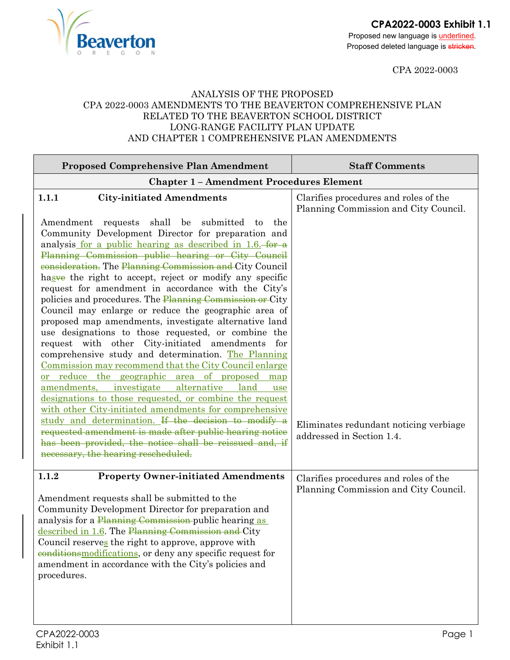**CPA2022-0003 Exhibit 1.1**

Proposed new language is **underlined**. Proposed deleted language is stricken.

CPA 2022-0003

## ANALYSIS OF THE PROPOSED CPA 2022-0003 AMENDMENTS TO THE BEAVERTON COMPREHENSIVE PLAN RELATED TO THE BEAVERTON SCHOOL DISTRICT LONG-RANGE FACILITY PLAN UPDATE AND CHAPTER 1 COMPREHENSIVE PLAN AMENDMENTS

**Beaverton** 

| <b>Proposed Comprehensive Plan Amendment</b>                                                                                                                                                                                                                                                                                                                                                                                                                                                                                                                                                                                                                                                                                                                                                                                                                                                                                                                                                                                                        | <b>Staff Comments</b>                                                          |  |
|-----------------------------------------------------------------------------------------------------------------------------------------------------------------------------------------------------------------------------------------------------------------------------------------------------------------------------------------------------------------------------------------------------------------------------------------------------------------------------------------------------------------------------------------------------------------------------------------------------------------------------------------------------------------------------------------------------------------------------------------------------------------------------------------------------------------------------------------------------------------------------------------------------------------------------------------------------------------------------------------------------------------------------------------------------|--------------------------------------------------------------------------------|--|
| <b>Chapter 1 - Amendment Procedures Element</b>                                                                                                                                                                                                                                                                                                                                                                                                                                                                                                                                                                                                                                                                                                                                                                                                                                                                                                                                                                                                     |                                                                                |  |
| 1.1.1<br><b>City-initiated Amendments</b><br>Amendment requests shall<br>be submitted<br>the<br>to<br>Community Development Director for preparation and<br>analysis for a public hearing as described in 1.6. for a<br>Planning Commission public hearing or City Council<br>eonsideration. The Planning Commission and City Council<br>hasve the right to accept, reject or modify any specific<br>request for amendment in accordance with the City's<br>policies and procedures. The Planning Commission or City<br>Council may enlarge or reduce the geographic area of<br>proposed map amendments, investigate alternative land<br>use designations to those requested, or combine the<br>request with other City-initiated amendments<br>for<br>comprehensive study and determination. The Planning<br>Commission may recommend that the City Council enlarge<br><u>or reduce the geographic area of proposed</u><br>map<br>amendments, investigate<br>alternative<br>land<br>use<br>designations to those requested, or combine the request | Clarifies procedures and roles of the<br>Planning Commission and City Council. |  |
| with other City-initiated amendments for comprehensive<br>study and determination. If the decision to modify a<br>requested amendment is made after public hearing notice<br>has been provided, the notice shall be reissued and, if<br>necessary, the hearing rescheduled.                                                                                                                                                                                                                                                                                                                                                                                                                                                                                                                                                                                                                                                                                                                                                                         | Eliminates redundant noticing verbiage<br>addressed in Section 1.4.            |  |
| <b>Property Owner-initiated Amendments</b><br>1.1.2<br>Amendment requests shall be submitted to the<br>Community Development Director for preparation and<br>analysis for a Planning Commission-public hearing as<br>described in 1.6. The Planning Commission and City<br>Council reserves the right to approve, approve with<br>eonditions modifications, or deny any specific request for<br>amendment in accordance with the City's policies and<br>procedures.                                                                                                                                                                                                                                                                                                                                                                                                                                                                                                                                                                                 | Clarifies procedures and roles of the<br>Planning Commission and City Council. |  |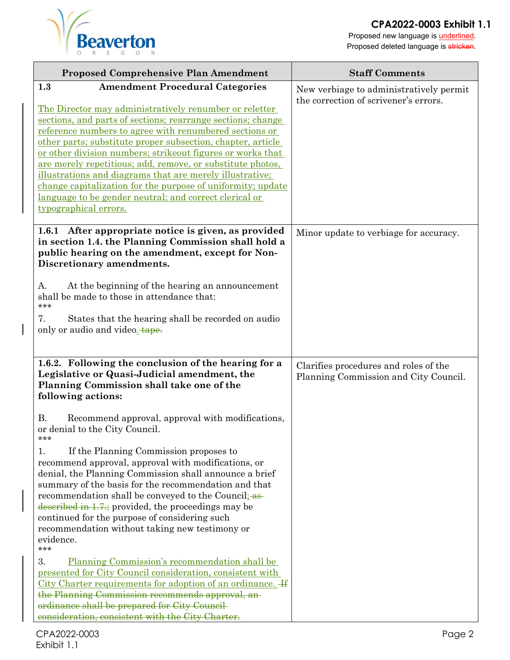



Proposed new language is **underlined**. Proposed deleted language is stricken.

| <b>Proposed Comprehensive Plan Amendment</b>                                                                          | <b>Staff Comments</b>                                                            |
|-----------------------------------------------------------------------------------------------------------------------|----------------------------------------------------------------------------------|
| 1.3<br><b>Amendment Procedural Categories</b>                                                                         | New verbiage to administratively permit<br>the correction of scrivener's errors. |
| The Director may administratively renumber or reletter                                                                |                                                                                  |
| sections, and parts of sections; rearrange sections; change                                                           |                                                                                  |
| reference numbers to agree with renumbered sections or<br>other parts; substitute proper subsection, chapter, article |                                                                                  |
| or other division numbers; strike out figures or works that                                                           |                                                                                  |
| <u>are merely repetitious; add, remove, or substitute photos,</u>                                                     |                                                                                  |
| illustrations and diagrams that are merely illustrative;                                                              |                                                                                  |
| change capitalization for the purpose of uniformity; update                                                           |                                                                                  |
| <u>language to be gender neutral; and correct clerical or</u><br>typographical errors.                                |                                                                                  |
|                                                                                                                       |                                                                                  |
| 1.6.1 After appropriate notice is given, as provided                                                                  | Minor update to verbiage for accuracy.                                           |
| in section 1.4. the Planning Commission shall hold a                                                                  |                                                                                  |
| public hearing on the amendment, except for Non-<br>Discretionary amendments.                                         |                                                                                  |
|                                                                                                                       |                                                                                  |
| At the beginning of the hearing an announcement<br>А.                                                                 |                                                                                  |
| shall be made to those in attendance that:<br>***                                                                     |                                                                                  |
| 7.                                                                                                                    |                                                                                  |
| States that the hearing shall be recorded on audio<br>only or audio and video. tape.                                  |                                                                                  |
|                                                                                                                       |                                                                                  |
|                                                                                                                       |                                                                                  |
| 1.6.2. Following the conclusion of the hearing for a                                                                  | Clarifies procedures and roles of the                                            |
| Legislative or Quasi-Judicial amendment, the<br>Planning Commission shall take one of the                             | Planning Commission and City Council.                                            |
| following actions:                                                                                                    |                                                                                  |
|                                                                                                                       |                                                                                  |
| <b>B.</b><br>Recommend approval, approval with modifications,<br>or denial to the City Council.                       |                                                                                  |
|                                                                                                                       |                                                                                  |
| If the Planning Commission proposes to<br>1.                                                                          |                                                                                  |
| recommend approval, approval with modifications, or                                                                   |                                                                                  |
| denial, the Planning Commission shall announce a brief                                                                |                                                                                  |
| summary of the basis for the recommendation and that                                                                  |                                                                                  |
| recommendation shall be conveyed to the Council as-<br>described in $1.7$ ; provided, the proceedings may be          |                                                                                  |
| continued for the purpose of considering such                                                                         |                                                                                  |
| recommendation without taking new testimony or                                                                        |                                                                                  |
| evidence.                                                                                                             |                                                                                  |
| ***<br>3.                                                                                                             |                                                                                  |
| Planning Commission's recommendation shall be<br>presented for City Council consideration, consistent with            |                                                                                  |
| City Charter requirements for adoption of an ordinance. H                                                             |                                                                                  |
| the Planning Commission recommends approval, an-                                                                      |                                                                                  |
| ordinance shall be prepared for City Council                                                                          |                                                                                  |
| consideration, consistent with the City Charter.                                                                      |                                                                                  |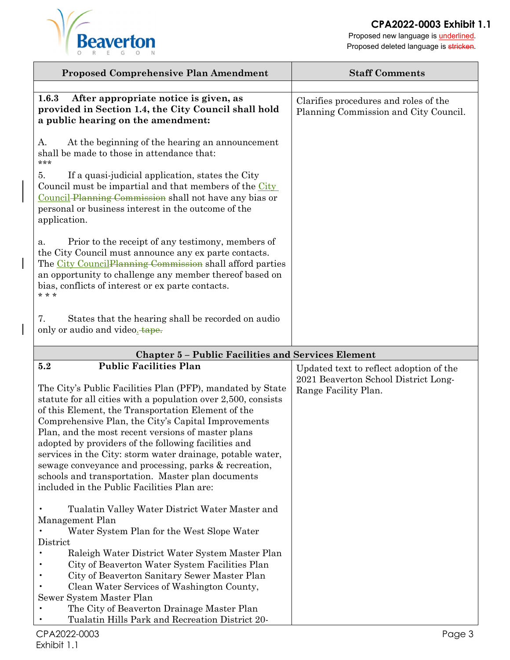

Proposed new language is **underlined**. Proposed deleted language is stricken.

| <b>Proposed Comprehensive Plan Amendment</b>                                                                                                                                                                                                                                                                                                                                                                                                                                                                                                                                                                              | <b>Staff Comments</b>                                                                                   |
|---------------------------------------------------------------------------------------------------------------------------------------------------------------------------------------------------------------------------------------------------------------------------------------------------------------------------------------------------------------------------------------------------------------------------------------------------------------------------------------------------------------------------------------------------------------------------------------------------------------------------|---------------------------------------------------------------------------------------------------------|
| After appropriate notice is given, as<br>1.6.3<br>provided in Section 1.4, the City Council shall hold<br>a public hearing on the amendment:                                                                                                                                                                                                                                                                                                                                                                                                                                                                              | Clarifies procedures and roles of the<br>Planning Commission and City Council.                          |
| At the beginning of the hearing an announcement<br>А.<br>shall be made to those in attendance that:<br>***<br>If a quasi-judicial application, states the City<br>5.<br>Council must be impartial and that members of the City<br>Council-Planning Commission shall not have any bias or<br>personal or business interest in the outcome of the                                                                                                                                                                                                                                                                           |                                                                                                         |
| application.<br>Prior to the receipt of any testimony, members of<br>a.<br>the City Council must announce any ex parte contacts.<br>The City Council Planning Commission shall afford parties<br>an opportunity to challenge any member thereof based on<br>bias, conflicts of interest or ex parte contacts.<br>* * *                                                                                                                                                                                                                                                                                                    |                                                                                                         |
| 7.<br>States that the hearing shall be recorded on audio<br>only or audio and video. tape.                                                                                                                                                                                                                                                                                                                                                                                                                                                                                                                                |                                                                                                         |
| <b>Chapter 5 - Public Facilities and Services Element</b>                                                                                                                                                                                                                                                                                                                                                                                                                                                                                                                                                                 |                                                                                                         |
| <b>Public Facilities Plan</b><br>5.2<br>The City's Public Facilities Plan (PFP), mandated by State<br>statute for all cities with a population over 2,500, consists<br>of this Element, the Transportation Element of the<br>Comprehensive Plan, the City's Capital Improvements<br>Plan, and the most recent versions of master plans<br>adopted by providers of the following facilities and<br>services in the City: storm water drainage, potable water,<br>sewage conveyance and processing, parks & recreation,<br>schools and transportation. Master plan documents<br>included in the Public Facilities Plan are: | Updated text to reflect adoption of the<br>2021 Beaverton School District Long-<br>Range Facility Plan. |
| Tualatin Valley Water District Water Master and<br>Management Plan<br>Water System Plan for the West Slope Water<br>District<br>Raleigh Water District Water System Master Plan<br>City of Beaverton Water System Facilities Plan<br>City of Beaverton Sanitary Sewer Master Plan                                                                                                                                                                                                                                                                                                                                         |                                                                                                         |

- Clean Water Services of Washington County, Sewer System Master Plan
- The City of Beaverton Drainage Master Plan
- Tualatin Hills Park and Recreation District 20-